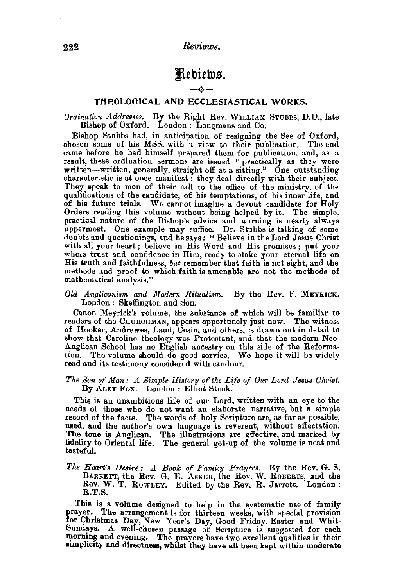## Rebiews.

## $-\mathbf{\hat{y}}-$

## THEOLOGICAL AND ECCLESIASTICAL WORKS.

*Ordination Addresses.* By the Right Rev. WILLIAM STUBBS, D.D., late Bishop of Oxford. London : Longmans and Co.

Bishop Stubbs had, in anticipation of resigning the See of Oxford, chosen some of his MSS. with a view to their publication. The end came before he had himself prepared them for publication, and, as a result, these ordination sermons are issued "practically as they were written—written, g characteristic is at once manifest : they deal directly with their subject. They speak to men of their call to the office of the ministry, of the qualifications of the candidate, of his temptations, of his inner life, and of his future trials. We cannot imagine a devout candidate for Holy Orders reading this volume without being helped by it. The simple, practical nature of the Bishop's advice and warning is nearly always uppermost. One example may suffice. Dr. Stubbs is talking of some doubts and questionings, and he says: " Believe in the Lord Jesus Christ with all your heart; believe in His Word and His promises; put your whole trust and confidence in Him, ready to stake your eternal life on His truth and faithfulness, *but* remember that faith is not sight, and the methods and proof to which faith is amenable are not the methods of mathematical analysis."

*Old Anglicanism and Modern Ritualism.* By the Rev. F. MEYRJCK. London : Skeffington and Son.

Canon Meyrick's volume, the substance of which will be familiar to readers of the CHURCHMAN, appears opportunely just now. The witness of Hooker, Andrewes, Laud, Cosin, and others, is drawn out in detail to show that Caroline theology was Protestant, and that the modern Nco-Anglican School has no English ancestry on this side of the Reforma· tion. The volume should do good service. We hope it will be widely read and its testimony considered with candour.

The Son of Man: A Simple History of the Life of Our Lord Jesus Christ. By ALEY Fox. London : Elliot Stock.

This is an unambitious life of our Lord, written with an eye to the needs of those who do not want an elaborate narrative, but a simple record of the facts. The words of holy Scripture are, as far as possible, used, and the author's own language is reverent, without affectation. The tone is Anglican. The illustrations are effective, and marked by fidelity to Oriental life. The general get-up of the volume is neat and tasteful.

*The Heart's Desire: A Book of Family Prayers.* By the Rev. G. S. BARRETT, the Rev. G. E. ASKER, the Rev. W. ROBERTS, and the Rev. W. T. ROWLEY. Edited by the Rev. R. Jarrett. London: R.T.S.

This is a volume designed to help in the systematic use of family prayer. The arrangement is for thirteen weeks, with special provision for Christmas Day, New Year's Day, Good Friday, Easter and Whit· Sundays. A well-chosen passage of Scripture is suggested for each morning and evening. The prayers have two excellent qualities in their simplicity and directness, whilst they have all been kept within moderate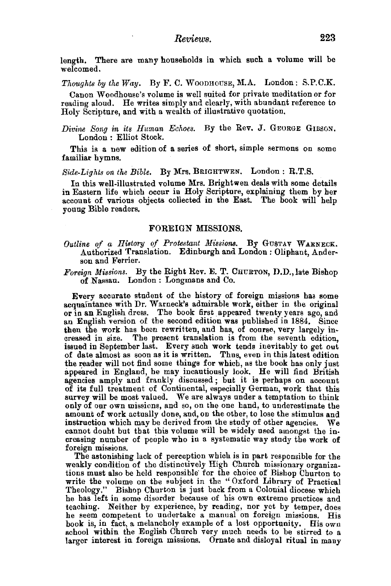length. There are many households in which such a volume will be welcomed.

*Thoughts by the Way.* By F. C. WooDHOUSE, M.A. London: S.P.C.K.

Canon Woodhouse's volume is well suited for private meditation or for reading aloud. He writes simply and clearly, with abundant reference to Holy Scripture, and with a wealth of illustrative quotation.

*Divine Song in its Human Echoes.* By the Rev. J. GEORGE GIBSON. London : Elliot Stock.

This is a new edition of a series of short, simple sermons on some familiar hymns.

Side-Lights on the Bible. By Mrs. BRIGHTWEN. London : R.T.S.

In this well-illustrated volume Mrs. Bright wen deals with some details in Eastern life which occur in Holy Scripture, explaining them by her account of various objects collected in the East. The book will help young Bible readers.

## FOREIGN MISSIONS.

Outline of a History of Protestant Missions. By GUSTAV WARNECK. Authorized Translation. Edinburgh and London : Oliphant, Ander- son and Ferrier.

*Foreign Missions.* By the Right Rev. E. T. CHURTON, D.D., late Bishop of Nassau. London : Longmans and Co.

Every accurate student of the history of foreign missions has some acquaintance with Dr. Warneck's admirable work, either in the original or in an English dress. The book first appeared twenty years ago, and an English ver then the work has been rewritten, and has, of course, very largely increased in size. The present translation is from the seventh edition, issued in September last. Every such work tends inevitably to get out of date almost as soon as it is written. Thus, even in this latest edition the reader will not find some things for which, as the book bas only just appeared in England, he may incautiously look. He will find British agencies amply and frankly discussed ; but it is perhaps on account of its full treatment of Continental, especially German, work that this survey will be most valued. We are always under a temptation to think only of our own missions, and so, on the one hand, to underestimate the amount of work actually done, and, on the other, to lose the stimulus and instruction which may be derived from the study of other agencies. We cannot doubt but that this volume will be widely used amongst the increasing number of people who in a systematic way study the work of foreign missions.

The astonishing lack of perception which is in part responsible for the weakly condition of the distinctively High Church missionary organizations must also be held responsible· for the choice of Bishop Churton to write the volume on the subject in the "Oxford Library of Practical Theology." Bishop Churton is just back from a Colonial diocese which he has left in some disorder because of his own extreme practices and teaching. Neither by experience, by reading, nor yet by temper, does he seem competent to undertake a manual on foreign missions. His book is, in fact, a melancholy example of a lost opportunity. His own school within the English Church very much needs to be stirred to a larger interest in foreign missions. Ornate and disloyal ritual in many